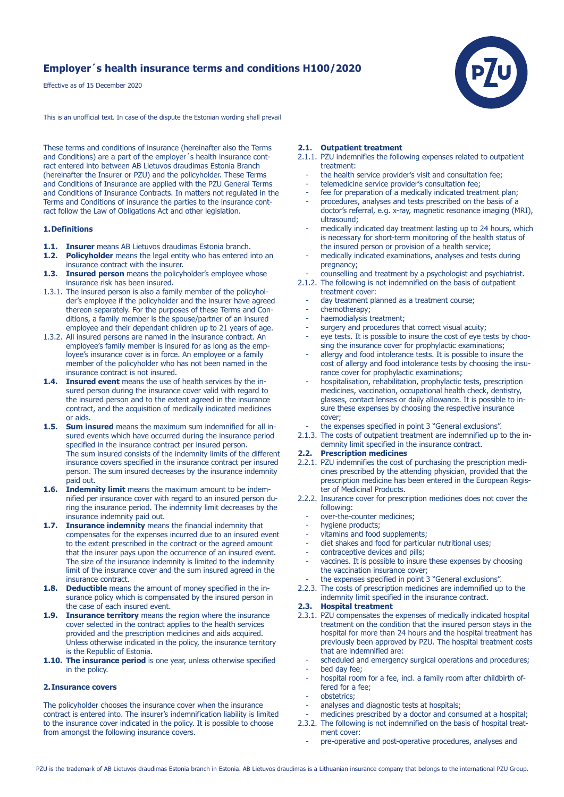# **Employer´s health insurance terms and conditions H100/2020**

Effective as of 15 December 2020

This is an unofficial text. In case of the dispute the Estonian wording shall prevail

These terms and conditions of insurance (hereinafter also the Terms and Conditions) are a part of the employer's health insurance contract entered into between AB Lietuvos draudimas Estonia Branch (hereinafter the Insurer or PZU) and the policyholder. These Terms and Conditions of Insurance are applied with the PZU General Terms and Conditions of Insurance Contracts. In matters not regulated in the Terms and Conditions of insurance the parties to the insurance contract follow the Law of Obligations Act and other legislation.

### **1. Definitions**

- **1.1. Insurer** means AB Lietuvos draudimas Estonia branch.<br>**1.2. Policyholder** means the legal entity who has entered in
- **Policyholder** means the legal entity who has entered into an insurance contract with the insurer.
- **1.3. Insured person** means the policyholder's employee whose insurance risk has been insured.
- 1.3.1. The insured person is also a family member of the policyhol der's employee if the policyholder and the insurer have agreed thereon separately. For the purposes of these Terms and Con ditions, a family member is the spouse/partner of an insured employee and their dependant children up to 21 years of age.
- 1.3.2. All insured persons are named in the insurance contract. An employee's family member is insured for as long as the emp loyee's insurance cover is in force. An employee or a family member of the policyholder who has not been named in the insurance contract is not insured.
- **1.4. Insured event** means the use of health services by the in sured person during the insurance cover valid with regard to the insured person and to the extent agreed in the insurance contract, and the acquisition of medically indicated medicines or aids.
- **1.5. Sum insured** means the maximum sum indemnified for all in sured events which have occurred during the insurance period specified in the insurance contract per insured person. The sum insured consists of the indemnity limits of the different insurance covers specified in the insurance contract per insured person. The sum insured decreases by the insurance indemnity paid out.
- **1.6. Indemnity limit** means the maximum amount to be indem nified per insurance cover with regard to an insured person du ring the insurance period. The indemnity limit decreases by the insurance indemnity paid out.
- **1.7. Insurance indemnity** means the financial indemnity that compensates for the expenses incurred due to an insured event to the extent prescribed in the contract or the agreed amount that the insurer pays upon the occurrence of an insured event. The size of the insurance indemnity is limited to the indemnity limit of the insurance cover and the sum insured agreed in the insurance contract.
- **1.8. Deductible** means the amount of money specified in the in surance policy which is compensated by the insured person in the case of each insured event.
- **1.9. Insurance territory** means the region where the insurance cover selected in the contract applies to the health services provided and the prescription medicines and aids acquired. Unless otherwise indicated in the policy, the insurance territory is the Republic of Estonia.
- **1.10. The insurance period** is one year, unless otherwise specified in the policy.

## **2. Insurance covers**

The policyholder chooses the insurance cover when the insurance contract is entered into. The insurer's indemnification liability is limited to the insurance cover indicated in the policy. It is possible to choose from amongst the following insurance covers.

## **2.1. Outpatient treatment**

- 2.1.1. PZU indemnifies the following expenses related to outpatient treatment:
	- the health service provider's visit and consultation fee;
	- telemedicine service provider's consultation fee:
- fee for preparation of a medically indicated treatment plan;
- procedures, analyses and tests prescribed on the basis of a doctor's referral, e.g. x-ray, magnetic resonance imaging (MRI), ultrasound;
- medically indicated day treatment lasting up to 24 hours, which is necessary for short-term monitoring of the health status of the insured person or provision of a health service;
- medically indicated examinations, analyses and tests during pregnancy;
- counselling and treatment by a psychologist and psychiatrist.
- 2.1.2. The following is not indemnified on the basis of outpatient treatment cover:
	- day treatment planned as a treatment course:
	- chemotherapy;
	- haemodialysis treatment;
	- surgery and procedures that correct visual acuity;<br>and procedures that correct visual acuity;
	- eye tests. It is possible to insure the cost of eye tests by choosing the insurance cover for prophylactic examinations;
	- allergy and food intolerance tests. It is possible to insure the cost of allergy and food intolerance tests by choosing the insu rance cover for prophylactic examinations;
	- hospitalisation, rehabilitation, prophylactic tests, prescription medicines, vaccination, occupational health check, dentistry, glasses, contact lenses or daily allowance. It is possible to in sure these expenses by choosing the respective insurance cover;
	- the expenses specified in point 3 "General exclusions".
- 2.1.3. The costs of outpatient treatment are indemnified up to the in demnity limit specified in the insurance contract.

# **2.2. Prescription medicines**

- 2.2.1. PZU indemnifies the cost of purchasing the prescription medi cines prescribed by the attending physician, provided that the prescription medicine has been entered in the European Regis ter of Medicinal Products.
- 2.2.2. Insurance cover for prescription medicines does not cover the following:
	- over-the-counter medicines;<br>- hydiene products:
	- hygiene products;
	- vitamins and food supplements;
	- diet shakes and food for particular nutritional uses;
	- contraceptive devices and pills;
	- vaccines. It is possible to insure these expenses by choosing the vaccination insurance cover;
	- the expenses specified in point 3 "General exclusions".
- 2.2.3. The costs of prescription medicines are indemnified up to the indemnity limit specified in the insurance contract.

# **2.3. Hospital treatment**

- 2.3.1. PZU compensates the expenses of medically indicated hospital treatment on the condition that the insured person stays in the hospital for more than 24 hours and the hospital treatment has previously been approved by PZU. The hospital treatment costs that are indemnified are:
	- scheduled and emergency surgical operations and procedures; bed day fee;
	- hospital room for a fee, incl. a family room after childbirth offered for a fee;
	- obstetrics;
	- analyses and diagnostic tests at hospitals;
- medicines prescribed by a doctor and consumed at a hospital; 2.3.2. The following is not indemnified on the basis of hospital treat ment cover:
	- pre-operative and post-operative procedures, analyses and

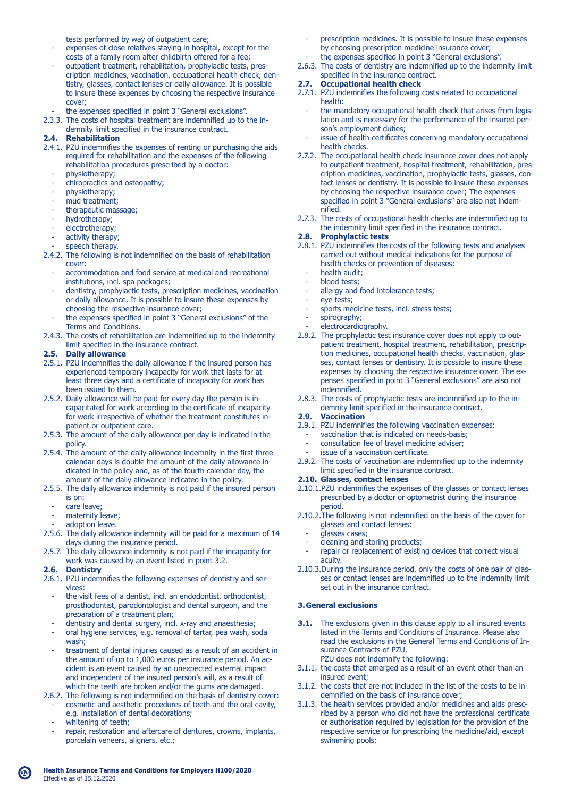tests performed by way of outpatient care;

- expenses of close relatives staying in hospital, except for the costs of a family room after childbirth offered for a fee;
- outpatient treatment, rehabilitation, prophylactic tests, pres cription medicines, vaccination, occupational health check, den tistry, glasses, contact lenses or daily allowance. It is possible to insure these expenses by choosing the respective insurance cover;
- the expenses specified in point 3 "General exclusions".
- 2.3.3. The costs of hospital treatment are indemnified up to the in demnity limit specified in the insurance contract.<br> **2.4.** Rehabilitation

## **2.4. Rehabilitation**

- 2.4.1. PZU indemnifies the expenses of renting or purchasing the aids required for rehabilitation and the expenses of the following rehabilitation procedures prescribed by a doctor:
	- physiotherapy;
	- chiropractics and osteopathy;
	- physiotherapy;
	- mud treatment;
	- therapeutic massage;
	- hydrotherapy;
	- electrotherapy;
	- activity therapy;
	- speech therapy.
- 2.4.2. The following is not indemnified on the basis of rehabilitation cover:
	- accommodation and food service at medical and recreational institutions, incl. spa packages;
	- dentistry, prophylactic tests, prescription medicines, vaccination or daily allowance. It is possible to insure these expenses by choosing the respective insurance cover;
	- the expenses specified in point 3 "General exclusions" of the Terms and Conditions.
- 2.4.3. The costs of rehabilitation are indemnified up to the indemnity limit specified in the insurance contract.

# **2.5. Daily allowance**

- 2.5.1. PZU indemnifies the daily allowance if the insured person has experienced temporary incapacity for work that lasts for at least three days and a certificate of incapacity for work has been issued to them.
- 2.5.2. Daily allowance will be paid for every day the person is in capacitated for work according to the certificate of incapacity for work irrespective of whether the treatment constitutes in patient or outpatient care.
- 2.5.3. The amount of the daily allowance per day is indicated in the policy.
- 2.5.4. The amount of the daily allowance indemnity in the first three calendar days is double the amount of the daily allowance in dicated in the policy and, as of the fourth calendar day, the amount of the daily allowance indicated in the policy.
- 2.5.5. The daily allowance indemnity is not paid if the insured person is on:
	- care leave;
	- maternity leave:
	- adoption leave.
- 2.5.6. The daily allowance indemnity will be paid for a maximum of 14 days during the insurance period.
- 2.5.7. The daily allowance indemnity is not paid if the incapacity for work was caused by an event listed in point 3.2.

### **2.6. Dentistry**

- 2.6.1. PZU indemnifies the following expenses of dentistry and ser vices:
	- the visit fees of a dentist, incl. an endodontist, orthodontist, prosthodontist, parodontologist and dental surgeon, and the preparation of a treatment plan;
	- dentistry and dental surgery, incl. x-ray and anaesthesia;
	- oral hygiene services, e.g. removal of tartar, pea wash, soda wash;
	- treatment of dental injuries caused as a result of an accident in the amount of up to 1,000 euros per insurance period. An ac cident is an event caused by an unexpected external impact and independent of the insured person's will, as a result of which the teeth are broken and/or the gums are damaged.
- 2.6.2. The following is not indemnified on the basis of dentistry cover: cosmetic and aesthetic procedures of teeth and the oral cavity,
	- e.g. installation of dental decorations;
	- whitening of teeth;
	- repair, restoration and aftercare of dentures, crowns, implants, porcelain veneers, aligners, etc.;
- prescription medicines. It is possible to insure these expenses by choosing prescription medicine insurance cover; the expenses specified in point 3 "General exclusions".
- 2.6.3. The costs of dentistry are indemnified up to the indemnity limit

#### specified in the insurance contract. **2.7. Occupational health check**

- 2.7.1. PZU indemnifies the following costs related to occupational health:
	- the mandatory occupational health check that arises from legis lation and is necessary for the performance of the insured per son's employment duties;
- issue of health certificates concerning mandatory occupational health checks.
- 2.7.2. The occupational health check insurance cover does not apply to outpatient treatment, hospital treatment, rehabilitation, pres cription medicines, vaccination, prophylactic tests, glasses, con tact lenses or dentistry. It is possible to insure these expenses by choosing the respective insurance cover; The expenses specified in point 3 "General exclusions" are also not indem nified.
- 2.7.3. The costs of occupational health checks are indemnified up to the indemnity limit specified in the insurance contract.

# **2.8. Prophylactic tests**

- 2.8.1. PZU indemnifies the costs of the following tests and analyses carried out without medical indications for the purpose of health checks or prevention of diseases:
	- health audit;
	- blood tests;
	- allergy and food intolerance tests;
- eye tests;
- sports medicine tests, incl. stress tests;
- spirography;
- electrocardiography.
- 2.8.2. The prophylactic test insurance cover does not apply to out patient treatment, hospital treatment, rehabilitation, prescrip tion medicines, occupational health checks, vaccination, glas ses, contact lenses or dentistry. It is possible to insure these expenses by choosing the respective insurance cover. The ex penses specified in point 3 "General exclusions" are also not indemnified.
- 2.8.3. The costs of prophylactic tests are indemnified up to the in demnity limit specified in the insurance contract.

## **2.9. Vaccination**

- 2.9.1. PZU indemnifies the following vaccination expenses:
	- vaccination that is indicated on needs-basis;
	- consultation fee of travel medicine adviser;
	- issue of a vaccination certificate.
- 2.9.2. The costs of vaccination are indemnified up to the indemnity limit specified in the insurance contract.

## **2.10. Glasses, contact lenses**

- 2.10.1.PZU indemnifies the expenses of the glasses or contact lenses prescribed by a doctor or optometrist during the insurance period.
- 2.10.2.The following is not indemnified on the basis of the cover for glasses and contact lenses:
	- qlasses cases;
	- cleaning and storing products;
	- repair or replacement of existing devices that correct visual acuity.
- 2.10.3.During the insurance period, only the costs of one pair of glas ses or contact lenses are indemnified up to the indemnity limit set out in the insurance contract.

# **3. General exclusions**

- **3.1.** The exclusions given in this clause apply to all insured events listed in the Terms and Conditions of Insurance. Please also read the exclusions in the General Terms and Conditions of In surance Contracts of PZU. PZU does not indemnify the following:
- 3.1.1. the costs that emerged as a result of an event other than an insured event;
- 3.1.2. the costs that are not included in the list of the costs to be in demnified on the basis of insurance cover;
- 3.1.3. the health services provided and/or medicines and aids presc ribed by a person who did not have the professional certificate or authorisation required by legislation for the provision of the respective service or for prescribing the medicine/aid, except swimming pools;

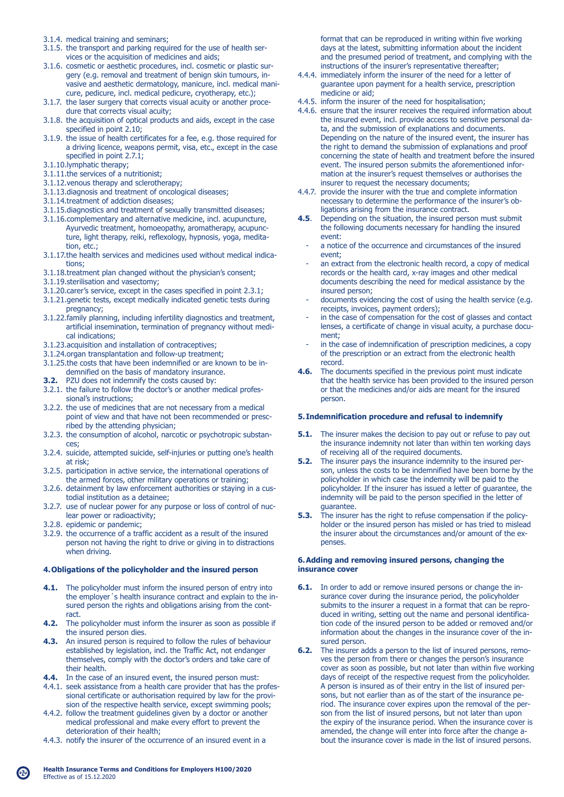- 3.1.4. medical training and seminars;
- 3.1.5. the transport and parking required for the use of health ser vices or the acquisition of medicines and aids;
- 3.1.6. cosmetic or aesthetic procedures, incl. cosmetic or plastic sur gery (e.g. removal and treatment of benign skin tumours, in vasive and aesthetic dermatology, manicure, incl. medical mani cure, pedicure, incl. medical pedicure, cryotherapy, etc.);
- 3.1.7. the laser surgery that corrects visual acuity or another proce dure that corrects visual acuity;
- 3.1.8. the acquisition of optical products and aids, except in the case specified in point 2.10;
- 3.1.9. the issue of health certificates for a fee, e.g. those required for a driving licence, weapons permit, visa, etc., except in the case specified in point 2.7.1;
- 3.1.10.lymphatic therapy;
- 3.1.11.the services of a nutritionist;
- 3.1.12.venous therapy and sclerotherapy;
- 3.1.13.diagnosis and treatment of oncological diseases;
- 3.1.14.treatment of addiction diseases;
- 3.1.15.diagnostics and treatment of sexually transmitted diseases;
- 3.1.16.complementary and alternative medicine, incl. acupuncture, Ayurvedic treatment, homoeopathy, aromatherapy, acupunc ture, light therapy, reiki, reflexology, hypnosis, yoga, medita tion, etc.;
- 3.1.17.the health services and medicines used without medical indica tions;
- 3.1.18.treatment plan changed without the physician's consent;
- 3.1.19.sterilisation and vasectomy;
- 3.1.20.carer's service, except in the cases specified in point 2.3.1;
- 3.1.21.genetic tests, except medically indicated genetic tests during pregnancy;
- 3.1.22.family planning, including infertility diagnostics and treatment, artificial insemination, termination of pregnancy without medi cal indications;
- 3.1.23.acquisition and installation of contraceptives;
- 3.1.24.organ transplantation and follow-up treatment;
- 3.1.25.the costs that have been indemnified or are known to be in demnified on the basis of mandatory insurance.
- **3.2.** PZU does not indemnify the costs caused by:
- 3.2.1. the failure to follow the doctor's or another medical profes sional's instructions;
- 3.2.2. the use of medicines that are not necessary from a medical point of view and that have not been recommended or presc ribed by the attending physician;
- 3.2.3. the consumption of alcohol, narcotic or psychotropic substan ces;
- 3.2.4. suicide, attempted suicide, self-injuries or putting one's health at risk;
- 3.2.5. participation in active service, the international operations of the armed forces, other military operations or training;
- 3.2.6. detainment by law enforcement authorities or staying in a cus todial institution as a detainee;
- 3.2.7. use of nuclear power for any purpose or loss of control of nuc lear power or radioactivity;
- 3.2.8. epidemic or pandemic;
- 3.2.9. the occurrence of a traffic accident as a result of the insured person not having the right to drive or giving in to distractions when driving.

### **4. Obligations of the policyholder and the insured person**

- **4.1.** The policyholder must inform the insured person of entry into the employer´s health insurance contract and explain to the in sured person the rights and obligations arising from the contract.
- **4.2.** The policyholder must inform the insurer as soon as possible if the insured person dies.
- **4.3.** An insured person is required to follow the rules of behaviour established by legislation, incl. the Traffic Act, not endanger themselves, comply with the doctor's orders and take care of their health.
- **4.4.** In the case of an insured event, the insured person must:
- 4.4.1. seek assistance from a health care provider that has the profes sional certificate or authorisation required by law for the provi sion of the respective health service, except swimming pools;
- 4.4.2. follow the treatment guidelines given by a doctor or another medical professional and make every effort to prevent the deterioration of their health;
- 4.4.3. notify the insurer of the occurrence of an insured event in a

 format that can be reproduced in writing within five working days at the latest, submitting information about the incident and the presumed period of treatment, and complying with the instructions of the insurer's representative thereafter;

- 4.4.4. immediately inform the insurer of the need for a letter of guarantee upon payment for a health service, prescription medicine or aid;
- 4.4.5. inform the insurer of the need for hospitalisation;
- 4.4.6. ensure that the insurer receives the required information about the insured event, incl. provide access to sensitive personal da ta, and the submission of explanations and documents. Depending on the nature of the insured event, the insurer has the right to demand the submission of explanations and proof concerning the state of health and treatment before the insured event. The insured person submits the aforementioned infor mation at the insurer's request themselves or authorises the insurer to request the necessary documents;
- 4.4.7. provide the insurer with the true and complete information necessary to determine the performance of the insurer's ob ligations arising from the insurance contract.<br>**4.5**. Depending on the situation, the insured pers
- **4.5**. Depending on the situation, the insured person must submit the following documents necessary for handling the insured event:
- a notice of the occurrence and circumstances of the insured event;
- an extract from the electronic health record, a copy of medical records or the health card, x-ray images and other medical documents describing the need for medical assistance by the insured person;
- documents evidencing the cost of using the health service (e.g. receipts, invoices, payment orders);
- in the case of compensation for the cost of glasses and contact lenses, a certificate of change in visual acuity, a purchase docu ment;
- in the case of indemnification of prescription medicines, a copy of the prescription or an extract from the electronic health
- record.<br>4.6. The do **4.6.** The documents specified in the previous point must indicate that the health service has been provided to the insured person or that the medicines and/or aids are meant for the insured person.

### **5. Indemnification procedure and refusal to indemnify**

- **5.1.** The insurer makes the decision to pay out or refuse to pay out the insurance indemnity not later than within ten working days of receiving all of the required documents.
- **5.2.** The insurer pays the insurance indemnity to the insured per son, unless the costs to be indemnified have been borne by the policyholder in which case the indemnity will be paid to the policyholder. If the insurer has issued a letter of guarantee, the indemnity will be paid to the person specified in the letter of guarantee.<br>5.3. The insure
- **5.3.** The insurer has the right to refuse compensation if the policy holder or the insured person has misled or has tried to mislead the insurer about the circumstances and/or amount of the ex penses.

### **6. Adding and removing insured persons, changing the insurance cover**

- **6.1.** In order to add or remove insured persons or change the in surance cover during the insurance period, the policyholder submits to the insurer a request in a format that can be repro duced in writing, setting out the name and personal identifica tion code of the insured person to be added or removed and/or information about the changes in the insurance cover of the in sured person.
- **6.2.** The insurer adds a person to the list of insured persons, remo ves the person from there or changes the person's insurance cover as soon as possible, but not later than within five working days of receipt of the respective request from the policyholder. A person is insured as of their entry in the list of insured per sons, but not earlier than as of the start of the insurance pe riod. The insurance cover expires upon the removal of the per son from the list of insured persons, but not later than upon the expiry of the insurance period. When the insurance cover is amended, the change will enter into force after the change a bout the insurance cover is made in the list of insured persons.